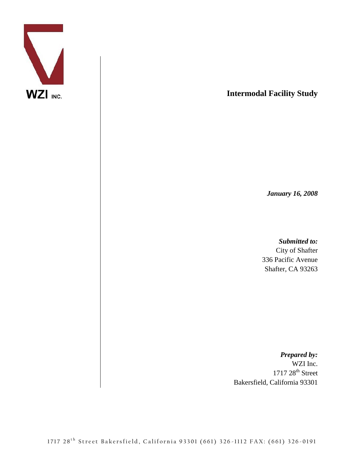

**Intermodal Facility Study**

*January 16, 2008*

*Submitted to:*

City of Shafter 336 Pacific Avenue Shafter, CA 93263

*Prepared by:* WZI Inc.  $1717\ 28$ <sup>th</sup> Street Bakersfield, California 93301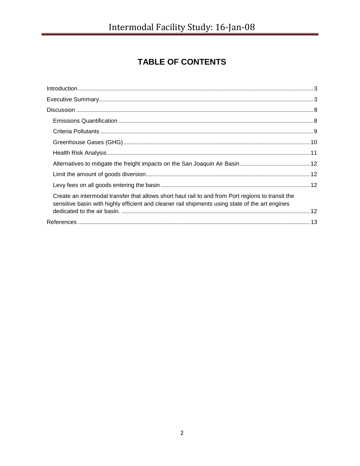# TABLE OF CONTENTS

| $\int_0^{\infty} \frac{1}{2} \int_0^{\infty} \frac{1}{2} \int_0^{\infty} \frac{1}{2} \int_0^{\infty} \frac{1}{2} \int_0^{\infty} \frac{1}{2} \int_0^{\infty} \frac{1}{2} \int_0^{\infty} \frac{1}{2} \int_0^{\infty} \frac{1}{2} \int_0^{\infty} \frac{1}{2} \int_0^{\infty} \frac{1}{2} \int_0^{\infty} \frac{1}{2} \int_0^{\infty} \frac{1}{2} \int_0^{\infty} \frac{1}{2} \int_0^{\infty} \frac{$ |  |
|------------------------------------------------------------------------------------------------------------------------------------------------------------------------------------------------------------------------------------------------------------------------------------------------------------------------------------------------------------------------------------------------------|--|
|                                                                                                                                                                                                                                                                                                                                                                                                      |  |
|                                                                                                                                                                                                                                                                                                                                                                                                      |  |
|                                                                                                                                                                                                                                                                                                                                                                                                      |  |
|                                                                                                                                                                                                                                                                                                                                                                                                      |  |
|                                                                                                                                                                                                                                                                                                                                                                                                      |  |
|                                                                                                                                                                                                                                                                                                                                                                                                      |  |
|                                                                                                                                                                                                                                                                                                                                                                                                      |  |
|                                                                                                                                                                                                                                                                                                                                                                                                      |  |
|                                                                                                                                                                                                                                                                                                                                                                                                      |  |
| Create an intermodal transfer that allows short haul rail to and from Port regions to transit the<br>sensitive basin with highly efficient and cleaner rail shipments using state of the art engines                                                                                                                                                                                                 |  |
|                                                                                                                                                                                                                                                                                                                                                                                                      |  |
|                                                                                                                                                                                                                                                                                                                                                                                                      |  |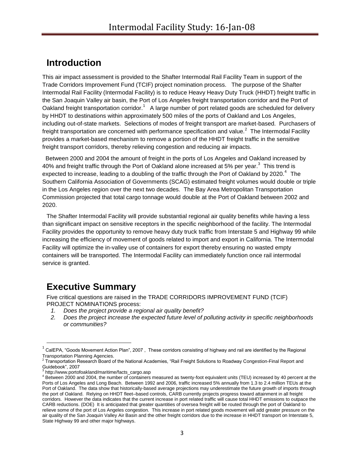# <span id="page-2-0"></span>**Introduction**

This air impact assessment is provided to the Shafter Intermodal Rail Facility Team in support of the Trade Corridors Improvement Fund (TCIF) project nomination process. The purpose of the Shafter Intermodal Rail Facility (Intermodal Facility) is to reduce Heavy Heavy Duty Truck (HHDT) freight traffic in the San Joaquin Valley air basin, the Port of Los Angeles freight transportation corridor and the Port of Oakland freight transportation corridor.<sup>1</sup> A large number of port related goods are scheduled for delivery by HHDT to destinations within approximately 500 miles of the ports of Oakland and Los Angeles, including out-of-state markets. Selections of modes of freight transport are market-based. Purchasers of freight transportation are concerned with performance specification and value.<sup>2</sup> The Intermodal Facility provides a market-based mechanism to remove a portion of the HHDT freight traffic in the sensitive freight transport corridors, thereby relieving congestion and reducing air impacts.

 Between 2000 and 2004 the amount of freight in the ports of Los Angeles and Oakland increased by 40% and freight traffic through the Port of Oakland alone increased at 5% per year.<sup>3</sup> This trend is expected to increase, leading to a doubling of the traffic through the Port of Oakland by 2020. $4$  The Southern California Association of Governments (SCAG) estimated freight volumes would double or triple in the Los Angeles region over the next two decades. The Bay Area Metropolitan Transportation Commission projected that total cargo tonnage would double at the Port of Oakland between 2002 and 2020.

The Shafter Intermodal Facility will provide substantial regional air quality benefits while having a less than significant impact on sensitive receptors in the specific neighborhood of the facility. The Intermodal Facility provides the opportunity to remove heavy duty truck traffic from Interstate 5 and Highway 99 while increasing the efficiency of movement of goods related to import and export in California. The Intermodal Facility will optimize the in-valley use of containers for export thereby ensuring no wasted empty containers will be transported. The Intermodal Facility can immediately function once rail intermodal service is granted.

# <span id="page-2-1"></span>**Executive Summary**

Five critical questions are raised in the TRADE CORRIDORS IMPROVEMENT FUND (TCIF) PROJECT NOMINATIONS process:

- *1. Does the project provide a regional air quality benefit?*
- *2. Does the project increase the expected future level of polluting activity in specific neighborhoods or communities?*

 $\overline{\phantom{a}}$ 

 $^1$  CalEPA, "Goods Movement Action Plan", 2007 , These corridors consisting of highway and rail are identified by the Regional Transportation Planning Agencies.

 $^2$  Transportation Research Board of the National Academies, "Rail Freight Solutions to Roadway Congestion-Final Report and Guidebook", 2007

<sup>3</sup> http://www.portofoakland/maritime/facts\_cargo.asp

<sup>4</sup> Between 2000 and 2004, the number of containers measured as twenty-foot equivalent units (TEU) increased by 40 percent at the Ports of Los Angeles and Long Beach. Between 1992 and 2006, traffic increased 5% annually from 1.3 to 2.4 million TEUs at the Port of Oakland. The data show that historically-based average projections may underestimate the future growth of imports through the port of Oakland. Relying on HHDT fleet–based controls, CARB currently projects progress toward attainment in all freight corridors. However the data indicates that the current increase in port related traffic will cause total HHDT emissions to outpace the CARB reductions. (DOE) It is anticipated that greater quantities of oversea freight will be routed through the port of Oakland to relieve some of the port of Los Angeles congestion. This increase in port related goods movement will add greater pressure on the air quality of the San Joaquin Valley Air Basin and the other freight corridors due to the increase in HHDT transport on Interstate 5, State Highway 99 and other major highways.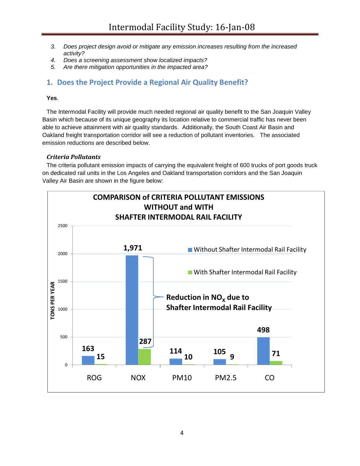- *3. Does project design avoid or mitigate any emission increases resulting from the increased activity?*
- *4. Does a screening assessment show localized impacts?*
- *5. Are there mitigation opportunities in the impacted area?*

## **1. Does the Project Provide a Regional Air Quality Benefit?**

#### **Yes**.

The Intermodal Facility will provide much needed regional air quality benefit to the San Joaquin Valley Basin which because of its unique geography its location relative to commercial traffic has never been able to achieve attainment with air quality standards. Additionally, the South Coast Air Basin and Oakland freight transportation corridor will see a reduction of pollutant inventories. The associated emission reductions are described below.

#### *Criteria Pollutants*

The criteria pollutant emission impacts of carrying the equivalent freight of 600 trucks of port goods truck on dedicated rail units in the Los Angeles and Oakland transportation corridors and the San Joaquin Valley Air Basin are shown in the figure below:

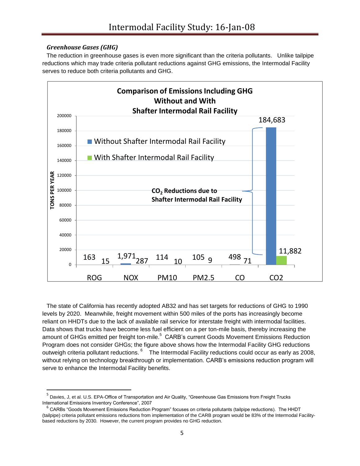### *Greenhouse Gases (GHG)*

 $\overline{\phantom{a}}$ 

The reduction in greenhouse gases is even more significant than the criteria pollutants. Unlike tailpipe reductions which may trade criteria pollutant reductions against GHG emissions, the Intermodal Facility serves to reduce both criteria pollutants and GHG.



The state of California has recently adopted AB32 and has set targets for reductions of GHG to 1990 levels by 2020. Meanwhile, freight movement within 500 miles of the ports has increasingly become reliant on HHDTs due to the lack of available rail service for interstate freight with intermodal facilities. Data shows that trucks have become less fuel efficient on a per ton-mile basis, thereby increasing the amount of GHGs emitted per freight ton-mile.<sup>5</sup> CARB's current Goods Movement Emissions Reduction Program does not consider GHGs; the figure above shows how the Intermodal Facility GHG reductions outweigh criteria pollutant reductions. <sup>6</sup> The Intermodal Facility reductions could occur as early as 2008, without relying on technology breakthrough or implementation. CARB's emissions reduction program will serve to enhance the Intermodal Facility benefits.

<sup>5</sup> Davies, J, et al. U.S. EPA-Office of Transportation and Air Quality, "Greenhouse Gas Emissions from Freight Trucks International Emissions Inventory Conference", 2007

<sup>&</sup>lt;sup>6</sup> CARBs "Goods Movement Emissions Reduction Program" focuses on criteria pollutants (tailpipe reductions). The HHDT (tailpipe) criteria pollutant emissions reductions from implementation of the CARB program would be 83% of the Intermodal Facilitybased reductions by 2030. However, the current program provides no GHG reduction.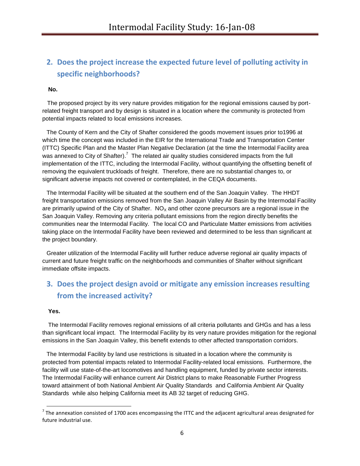## **2. Does the project increase the expected future level of polluting activity in specific neighborhoods?**

#### **No.**

 The proposed project by its very nature provides mitigation for the regional emissions caused by portrelated freight transport and by design is situated in a location where the community is protected from potential impacts related to local emissions increases.

The County of Kern and the City of Shafter considered the goods movement issues prior to1996 at which time the concept was included in the EIR for the International Trade and Transportation Center (ITTC) Specific Plan and the Master Plan Negative Declaration (at the time the Intermodal Facility area was annexed to City of Shafter).<sup>7</sup> The related air quality studies considered impacts from the full implementation of the ITTC, including the Intermodal Facility, without quantifying the offsetting benefit of removing the equivalent truckloads of freight. Therefore, there are no substantial changes to, or significant adverse impacts not covered or contemplated, in the CEQA documents.

The Intermodal Facility will be situated at the southern end of the San Joaquin Valley. The HHDT freight transportation emissions removed from the San Joaquin Valley Air Basin by the Intermodal Facility are primarily upwind of the City of Shafter.  $NO<sub>x</sub>$  and other ozone precursors are a regional issue in the San Joaquin Valley. Removing any criteria pollutant emissions from the region directly benefits the communities near the Intermodal Facility. The local CO and Particulate Matter emissions from activities taking place on the Intermodal Facility have been reviewed and determined to be less than significant at the project boundary.

Greater utilization of the Intermodal Facility will further reduce adverse regional air quality impacts of current and future freight traffic on the neighborhoods and communities of Shafter without significant immediate offsite impacts.

## **3. Does the project design avoid or mitigate any emission increases resulting from the increased activity?**

#### **Yes.**

l

The Intermodal Facility removes regional emissions of all criteria pollutants and GHGs and has a less than significant local impact. The Intermodal Facility by its very nature provides mitigation for the regional emissions in the San Joaquin Valley, this benefit extends to other affected transportation corridors.

The Intermodal Facility by land use restrictions is situated in a location where the community is protected from potential impacts related to Intermodal Facility-related local emissions. Furthermore, the facility will use state-of-the-art locomotives and handling equipment, funded by private sector interests. The Intermodal Facility will enhance current Air District plans to make Reasonable Further Progress toward attainment of both National Ambient Air Quality Standards and California Ambient Air Quality Standards while also helping California meet its AB 32 target of reducing GHG.

 $^7$  The annexation consisted of 1700 aces encompassing the ITTC and the adjacent agricultural areas designated for future industrial use.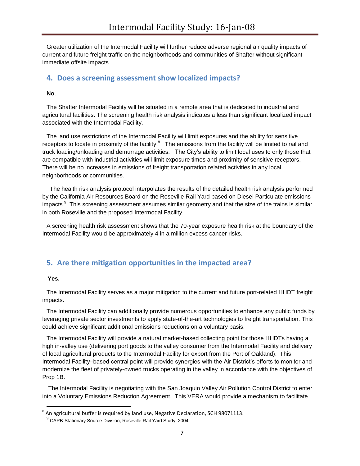Greater utilization of the Intermodal Facility will further reduce adverse regional air quality impacts of current and future freight traffic on the neighborhoods and communities of Shafter without significant immediate offsite impacts.

#### **4. Does a screening assessment show localized impacts?**

#### **No**.

The Shafter Intermodal Facility will be situated in a remote area that is dedicated to industrial and agricultural facilities. The screening health risk analysis indicates a less than significant localized impact associated with the Intermodal Facility.

The land use restrictions of the Intermodal Facility will limit exposures and the ability for sensitive receptors to locate in proximity of the facility.<sup>8</sup> The emissions from the facility will be limited to rail and truck loading/unloading and demurrage activities. The City's ability to limit local uses to only those that are compatible with industrial activities will limit exposure times and proximity of sensitive receptors. There will be no increases in emissions of freight transportation related activities in any local neighborhoods or communities.

 The health risk analysis protocol interpolates the results of the detailed health risk analysis performed by the California Air Resources Board on the Roseville Rail Yard based on Diesel Particulate emissions impacts. $^{9}$  This screening assessment assumes similar geometry and that the size of the trains is similar in both Roseville and the proposed Intermodal Facility.

A screening health risk assessment shows that the 70-year exposure health risk at the boundary of the Intermodal Facility would be approximately 4 in a million excess cancer risks.

## **5. Are there mitigation opportunities in the impacted area?**

#### **Yes.**

l

The Intermodal Facility serves as a major mitigation to the current and future port-related HHDT freight impacts.

The Intermodal Facility can additionally provide numerous opportunities to enhance any public funds by leveraging private sector investments to apply state-of-the-art technologies to freight transportation. This could achieve significant additional emissions reductions on a voluntary basis.

The Intermodal Facility will provide a natural market-based collecting point for those HHDTs having a high in-valley use (delivering port goods to the valley consumer from the Intermodal Facility and delivery of local agricultural products to the Intermodal Facility for export from the Port of Oakland). This Intermodal Facility–based central point will provide synergies with the Air District's efforts to monitor and modernize the fleet of privately-owned trucks operating in the valley in accordance with the objectives of Prop 1B.

The Intermodal Facility is negotiating with the San Joaquin Valley Air Pollution Control District to enter into a Voluntary Emissions Reduction Agreement. This VERA would provide a mechanism to facilitate

 $^8$  An agricultural buffer is required by land use, Negative Declaration, SCH 98071113.

 $^{9}$  CARB-Stationary Source Division, Roseville Rail Yard Study, 2004.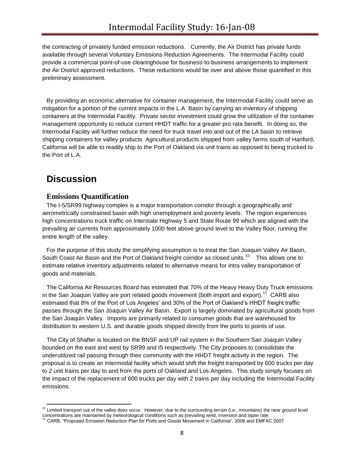the contracting of privately funded emission reductions. Currently, the Air District has private funds available through several Voluntary Emissions Reduction Agreements. The Intermodal Facility could provide a commercial point-of-use clearinghouse for business-to-business arrangements to implement the Air District approved reductions. These reductions would be over and above those quantified in this preliminary assessment.

By providing an economic alternative for container management, the Intermodal Facility could serve as mitigation for a portion of the current impacts in the L.A. Basin by carrying an inventory of shipping containers at the Intermodal Facility. Private sector investment could grow the utilization of the container management opportunity to reduce current HHDT traffic for a greater pro rata benefit. In doing so, the Intermodal Facility will further reduce the need for truck travel into and out of the LA basin to retrieve shipping containers for valley products. Agricultural products shipped from valley farms south of Hanford, California will be able to readily ship to the Port of Oakland via unit trains as opposed to being trucked to the Port of L.A.

# <span id="page-7-0"></span>**Discussion**

 $\overline{\phantom{a}}$ 

## <span id="page-7-1"></span>**Emissions Quantification**

The I-5/SR99 highway complex is a major transportation corridor through a geographically and aerometrically constrained basin with high unemployment and poverty levels. The region experiences high concentrations truck traffic on Interstate Highway 5 and State Route 99 which are aligned with the prevailing air currents from approximately 1000 feet above ground level to the Valley floor, running the entire length of the valley.

For the purpose of this study the simplifying assumption is to treat the San Joaquin Valley Air Basin, South Coast Air Basin and the Port of Oakland freight corridor as closed units.<sup>10</sup> This allows one to estimate relative inventory adjustments related to alternative means for intra valley transportation of goods and materials.

The California Air Resources Board has estimated that 70% of the Heavy Heavy Duty Truck emissions in the San Joaquin Valley are port related goods movement (both import and export).<sup>11</sup> CARB also estimated that 8% of the Port of Los Angeles' and 30% of the Port of Oakland's HHDT freight traffic passes through the San Joaquin Valley Air Basin. Export is largely dominated by agricultural goods from the San Joaquin Valley. Imports are primarily related to consumer goods that are warehoused for distribution to western U.S. and durable goods shipped directly from the ports to points of use.

The City of Shafter is located on the BNSF and UP rail system in the Southern San Joaquin Valley bounded on the east and west by SR99 and I5 respectively. The City proposes to consolidate the underutilized rail passing through their community with the HHDT freight activity in the region. The proposal is to create an intermodal facility which would shift the freight transported by 600 trucks per day to 2 unit trains per day to and from the ports of Oakland and Los Angeles. This study simply focuses on the impact of the replacement of 600 trucks per day with 2 trains per day including the Intermodal Facility emissions.

 $10$  Limited transport out of the valley does occur. However, due to the surrounding terrain (i.e., mountains) the near ground level concentrations are maintained by meteorological conditions such as prevailing wind, inversion and lapse rate.

<sup>11</sup> CARB, "Proposed Emission Reduction Plan for Ports and Goods Movement in California", 2006 and EMFAC 2007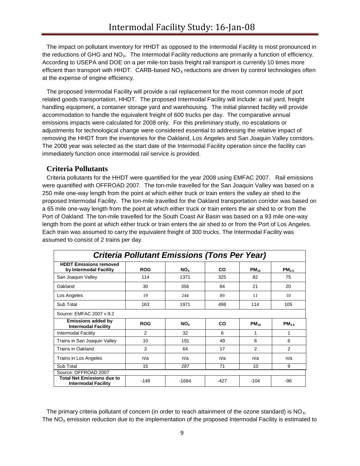The impact on pollutant inventory for HHDT as opposed to the Intermodal Facility is most pronounced in the reductions of GHG and  $NO<sub>X</sub>$ . The Intermodal Facility reductions are primarily a function of efficiency. According to USEPA and DOE on a per mile-ton basis freight rail transport is currently 10 times more efficient than transport with HHDT. CARB-based  $NO<sub>x</sub>$  reductions are driven by control technologies often at the expense of engine efficiency.

The proposed Intermodal Facility will provide a rail replacement for the most common mode of port related goods transportation, HHDT. The proposed Intermodal Facility will include: a rail yard, freight handling equipment, a container storage yard and warehousing. The initial planned facility will provide accommodation to handle the equivalent freight of 600 trucks per day. The comparative annual emissions impacts were calculated for 2008 only. For this preliminary study, no escalations or adjustments for technological change were considered essential to addressing the relative impact of removing the HHDT from the inventories for the Oakland, Los Angeles and San Joaquin Valley corridors. The 2008 year was selected as the start date of the Intermodal Facility operation since the facility can immediately function once intermodal rail service is provided.

### <span id="page-8-0"></span>**Criteria Pollutants**

Criteria pollutants for the HHDT were quantified for the year 2008 using EMFAC 2007. Rail emissions were quantified with OFFROAD 2007. The ton-mile travelled for the San Joaquin Valley was based on a 250 mile one-way length from the point at which either truck or train enters the valley air shed to the proposed Intermodal Facility. The ton-mile travelled for the Oakland transportation corridor was based on a 65 mile one-way length from the point at which either truck or train enters the air shed to or from the Port of Oakland. The ton-mile travelled for the South Coast Air Basin was based on a 93 mile one-way length from the point at which either truck or train enters the air shed to or from the Port of Los Angeles. Each train was assumed to carry the equivalent freight of 300 trucks. The Intermodal Facility was assumed to consist of 2 trains per day.

| <b>Criteria Pollutant Emissions (Tons Per Year)</b>             |            |                 |        |                |                   |  |  |
|-----------------------------------------------------------------|------------|-----------------|--------|----------------|-------------------|--|--|
| <b>HDDT Emissions removed</b><br>by Intermodal Facility         | <b>ROG</b> | NO <sub>x</sub> | CO     | $PM_{10}$      | PM <sub>2.5</sub> |  |  |
| San Joaquin Valley                                              | 114        | 1371            | 325    | 82             | 75                |  |  |
| Oakland                                                         | 30         | 356             | 84     | 21             | 20                |  |  |
| Los Angeles                                                     | 19         | 244             | 89     | 11             | 10                |  |  |
| Sub Total                                                       | 163        | 1971            | 498    | 114            | 105               |  |  |
| Source: EMFAC 2007 v.9.2                                        |            |                 |        |                |                   |  |  |
| <b>Emissions added by</b><br><b>Intermodal Facility</b>         | <b>ROG</b> | NO <sub>x</sub> | CO     | $PM_{10}$      | PM <sub>2.5</sub> |  |  |
| Intermodal Facility                                             | 2          | 32              | 6      |                | 1                 |  |  |
| Trains in San Joaquin Valley                                    | 10         | 191             | 49     | 6              | 6                 |  |  |
| <b>Trains in Oakland</b>                                        | 3          | 64              | 17     | $\overline{2}$ | 2                 |  |  |
| Trains in Los Angeles                                           | n/a        | n/a             | n/a    | n/a            | n/a               |  |  |
| Sub Total                                                       | 15         | 287             | 71     | 10             | 9                 |  |  |
| Source: OFFROAD 2007                                            |            |                 |        |                |                   |  |  |
| <b>Total Net Emissions due to</b><br><b>Intermodal Facility</b> | $-148$     | -1684           | $-427$ | $-104$         | -96               |  |  |

The primary criteria pollutant of concern (in order to reach attainment of the ozone standard) is  $NO<sub>x</sub>$ . The  $NO<sub>x</sub>$  emission reduction due to the implementation of the proposed Intermodal Facility is estimated to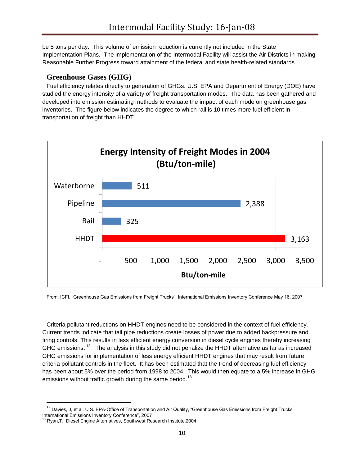be 5 tons per day. This volume of emission reduction is currently not included in the State Implementation Plans. The implementation of the Intermodal Facility will assist the Air Districts in making Reasonable Further Progress toward attainment of the federal and state health-related standards.

### <span id="page-9-0"></span>**Greenhouse Gases (GHG)**

Fuel efficiency relates directly to generation of GHGs. U.S. EPA and Department of Energy (DOE) have studied the energy intensity of a variety of freight transportation modes. The data has been gathered and developed into emission estimating methods to evaluate the impact of each mode on greenhouse gas inventories. The figure below indicates the degree to which rail is 10 times more fuel efficient in transportation of freight than HHDT.



From: ICFI, "Greenhouse Gas Emissions from Freight Trucks", International Emissions Inventory Conference May 16, 2007

Criteria pollutant reductions on HHDT engines need to be considered in the context of fuel efficiency. Current trends indicate that tail pipe reductions create losses of power due to added backpressure and firing controls. This results in less efficient energy conversion in diesel cycle engines thereby increasing GHG emissions.  $12$  The analysis in this study did not penalize the HHDT alternative as far as increased GHG emissions for implementation of less energy efficient HHDT engines that may result from future criteria pollutant controls in the fleet. It has been estimated that the trend of decreasing fuel efficiency has been about 5% over the period from 1998 to 2004. This would then equate to a 5% increase in GHG emissions without traffic growth during the same period.<sup>13</sup>

 $\overline{\phantom{a}}$ 

<sup>&</sup>lt;sup>12</sup> Davies, J, et al. U.S. EPA-Office of Transportation and Air Quality, "Greenhouse Gas Emissions from Freight Trucks International Emissions Inventory Conference", 2007

<sup>13</sup> Ryan,T., Diesel Engine Alternatives, Southwest Research Institute,2004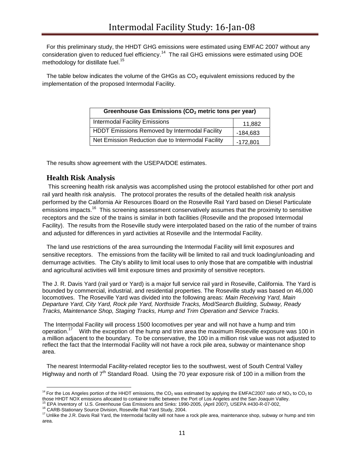For this preliminary study, the HHDT GHG emissions were estimated using EMFAC 2007 without any consideration given to reduced fuel efficiency.<sup>14</sup> The rail GHG emissions were estimated using DOE methodology for distillate fuel.<sup>15</sup>

The table below indicates the volume of the GHGs as  $CO<sub>2</sub>$  equivalent emissions reduced by the implementation of the proposed Intermodal Facility.

| Greenhouse Gas Emissions (CO <sub>2</sub> metric tons per year) |            |  |  |  |
|-----------------------------------------------------------------|------------|--|--|--|
| <b>Intermodal Facility Emissions</b>                            | 11,882     |  |  |  |
| HDDT Emissions Removed by Intermodal Facility                   | $-184,683$ |  |  |  |
| Net Emission Reduction due to Intermodal Facility               | $-172,801$ |  |  |  |

The results show agreement with the USEPA/DOE estimates.

#### <span id="page-10-0"></span>**Health Risk Analysis**

This screening health risk analysis was accomplished using the protocol established for other port and rail yard health risk analysis. The protocol prorates the results of the detailed health risk analysis performed by the California Air Resources Board on the Roseville Rail Yard based on Diesel Particulate emissions impacts.<sup>16</sup> This screening assessment conservatively assumes that the proximity to sensitive receptors and the size of the trains is similar in both facilities (Roseville and the proposed Intermodal Facility). The results from the Roseville study were interpolated based on the ratio of the number of trains and adjusted for differences in yard activities at Roseville and the Intermodal Facility.

The land use restrictions of the area surrounding the Intermodal Facility will limit exposures and sensitive receptors. The emissions from the facility will be limited to rail and truck loading/unloading and demurrage activities. The City's ability to limit local uses to only those that are compatible with industrial and agricultural activities will limit exposure times and proximity of sensitive receptors.

The J. R. Davis Yard (rail yard or Yard) is a major full service rail yard in Roseville, California. The Yard is bounded by commercial, industrial, and residential properties. The Roseville study was based on 46,000 locomotives. The Roseville Yard was divided into the following areas: *Main Receiving Yard, Main Departure Yard, City Yard, Rock pile Yard, Northside Tracks, Mod/Search Building, Subway, Ready Tracks, Maintenance Shop, Staging Tracks, Hump and Trim Operation and Service Tracks.*

The Intermodal Facility will process 1500 locomotives per year and will not have a hump and trim operation.<sup>17</sup> With the exception of the hump and trim area the maximum Roseville exposure was 100 in a million adjacent to the boundary. To be conservative, the 100 in a million risk value was not adjusted to reflect the fact that the Intermodal Facility will not have a rock pile area, subway or maintenance shop area.

The nearest Intermodal Facility-related receptor lies to the southwest, west of South Central Valley Highway and north of  $7<sup>th</sup>$  Standard Road. Using the 70 year exposure risk of 100 in a million from the

 $\overline{\phantom{a}}$ 

<sup>&</sup>lt;sup>14</sup> For the Los Angeles portion of the HHDT emissions, the CO<sub>2</sub> was estimated by applying the EMFAC2007 ratio of NO<sub>x</sub> to CO<sub>2</sub> to those HHDT NOX emissions allocated to container traffic between the Port of Los Angeles and the San Joaquin Valley. EPA Inventory of U.S. Greenhouse Gas Emissions and Sinks: 1990-2005, (April 2007), USEPA #430-R-07-002,

<sup>&</sup>lt;sup>16</sup> CARB-Stationary Source Division, Roseville Rail Yard Study, 2004.

<sup>&</sup>lt;sup>17</sup> Unlike the J.R. Davis Rail Yard, the Intermodal facility will not have a rock pile area, maintenance shop, subway or hump and trim area.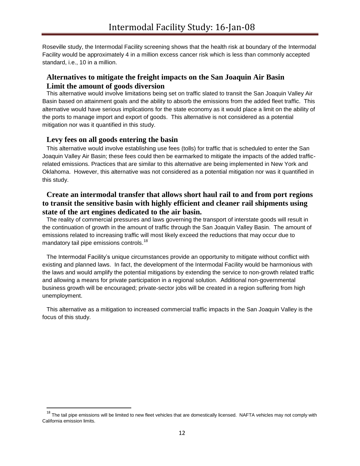Roseville study, the Intermodal Facility screening shows that the health risk at boundary of the Intermodal Facility would be approximately 4 in a million excess cancer risk which is less than commonly accepted standard, i.e., 10 in a million.

### <span id="page-11-0"></span>**Alternatives to mitigate the freight impacts on the San Joaquin Air Basin Limit the amount of goods diversion**

<span id="page-11-1"></span>This alternative would involve limitations being set on traffic slated to transit the San Joaquin Valley Air Basin based on attainment goals and the ability to absorb the emissions from the added fleet traffic. This alternative would have serious implications for the state economy as it would place a limit on the ability of the ports to manage import and export of goods. This alternative is not considered as a potential mitigation nor was it quantified in this study.

#### <span id="page-11-2"></span>**Levy fees on all goods entering the basin**

l

This alternative would involve establishing use fees (tolls) for traffic that is scheduled to enter the San Joaquin Valley Air Basin; these fees could then be earmarked to mitigate the impacts of the added trafficrelated emissions. Practices that are similar to this alternative are being implemented in New York and Oklahoma. However, this alternative was not considered as a potential mitigation nor was it quantified in this study.

## <span id="page-11-3"></span>**Create an intermodal transfer that allows short haul rail to and from port regions to transit the sensitive basin with highly efficient and cleaner rail shipments using state of the art engines dedicated to the air basin.**

The reality of commercial pressures and laws governing the transport of interstate goods will result in the continuation of growth in the amount of traffic through the San Joaquin Valley Basin. The amount of emissions related to increasing traffic will most likely exceed the reductions that may occur due to mandatory tail pipe emissions controls.<sup>18</sup>

The Intermodal Facility's unique circumstances provide an opportunity to mitigate without conflict with existing and planned laws. In fact, the development of the Intermodal Facility would be harmonious with the laws and would amplify the potential mitigations by extending the service to non-growth related traffic and allowing a means for private participation in a regional solution. Additional non-governmental business growth will be encouraged; private-sector jobs will be created in a region suffering from high unemployment.

This alternative as a mitigation to increased commercial traffic impacts in the San Joaquin Valley is the focus of this study.

<sup>&</sup>lt;sup>18</sup> The tail pipe emissions will be limited to new fleet vehicles that are domestically licensed. NAFTA vehicles may not comply with California emission limits.